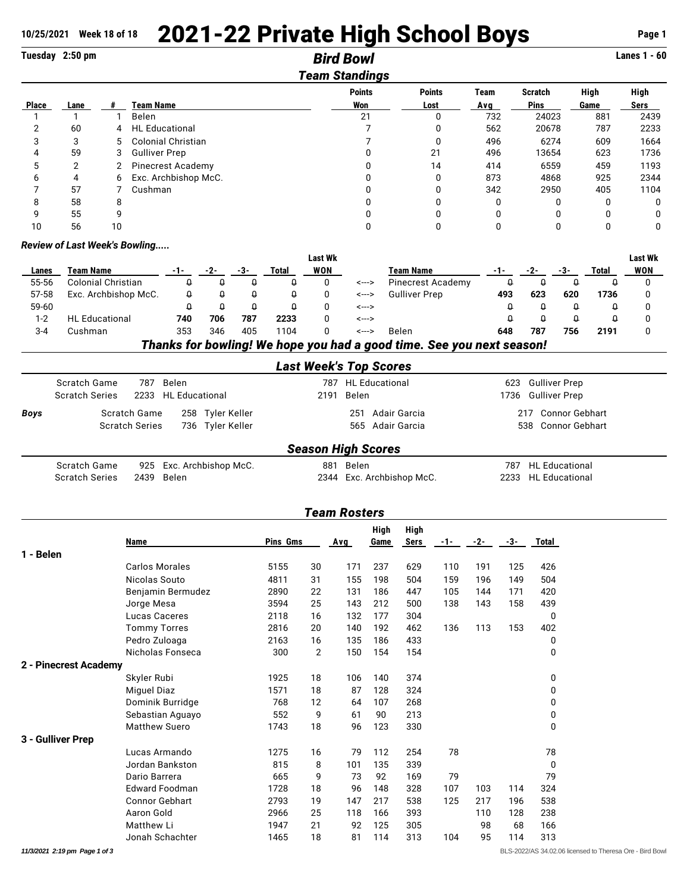## 10/25/2021 Week 18 of 18 2021-22 Private High School Boys Page 1

|              | Tuesday 2:50 pm |              |                           | <b>Bird Bowl</b><br><b>Team Standings</b> |               |              |                |          | <b>Lanes 1 - 60</b> |
|--------------|-----------------|--------------|---------------------------|-------------------------------------------|---------------|--------------|----------------|----------|---------------------|
|              |                 |              |                           | <b>Points</b>                             | <b>Points</b> | Team         | <b>Scratch</b> | High     | High                |
| <b>Place</b> | Lane            |              | Team Name                 | Won                                       | Lost          | Avg          | <b>Pins</b>    | Game     | <b>Sers</b>         |
|              |                 |              | Belen                     | 21                                        | 0             | 732          | 24023          | 881      | 2439                |
| 2            | 60              | 4            | <b>HL Educational</b>     |                                           | 0             | 562          | 20678          | 787      | 2233                |
| 3            | 3               | 5            | <b>Colonial Christian</b> |                                           | 0             | 496          | 6274           | 609      | 1664                |
| 4            | 59              | 3            | <b>Gulliver Prep</b>      |                                           | 21            | 496          | 13654          | 623      | 1736                |
| 5            | 2               | $\mathbf{2}$ | <b>Pinecrest Academy</b>  |                                           | 14            | 414          | 6559           | 459      | 1193                |
| 6            | 4               | 6            | Exc. Archbishop McC.      |                                           | 0             | 873          | 4868           | 925      | 2344                |
|              | 57              |              | Cushman                   |                                           | 0             | 342          | 2950           | 405      | 1104                |
| 8            | 58              | 8            |                           |                                           | 0             | <sup>0</sup> | 0              | 0        | $\Omega$            |
| 9            | 55              | 9            |                           |                                           | 0             |              | 0              | $\Omega$ | $\Omega$            |
| 10           | 56              | 10           |                           |                                           | 0             |              | 0              | 0        | $\Omega$            |

## *Review of Last Week's Bowling.....*

|                                                                      |                       |     |     |     |       | <b>Last Wk</b> |       |                      |     |     |     |       | <b>Last Wk</b> |
|----------------------------------------------------------------------|-----------------------|-----|-----|-----|-------|----------------|-------|----------------------|-----|-----|-----|-------|----------------|
| Lanes                                                                | Team Name             | -1- |     | -3- | Total | <b>WON</b>     |       | <b>Team Name</b>     | -1- |     | -3- | Total | WON            |
| 55-56                                                                | Colonial Christian    |     |     | 0   |       |                | <---> | Pinecrest Academy    |     |     |     |       |                |
| 57-58                                                                | Exc. Archbishop McC.  |     |     | Q   |       |                | <---> | <b>Gulliver Prep</b> | 493 | 623 | 620 | 1736  |                |
| 59-60                                                                |                       |     |     |     |       |                | <---> |                      |     |     |     |       |                |
| $1 - 2$                                                              | <b>HL</b> Educational | 740 | 706 | 787 | 2233  |                | <---> |                      |     |     |     |       |                |
| $3 - 4$                                                              | Cushman               | 353 | 346 | 405 | 1104  |                | <---> | Belen                | 648 | 787 | 756 | 2191  |                |
| Thoule for houling! We have you had a read time. Can you now account |                       |     |     |     |       |                |       |                      |     |     |     |       |                |

*Thanks for bowling! We hope you had a good time. See you next season!*

|                           | Scratch Game<br><b>Scratch Series</b> | 787 Belen<br>2233 HL Educational     | 2191 Belen | 787 HL Educational                   |  | 623 Gulliver Prep<br>1736 Gulliver Prep  |  |  |
|---------------------------|---------------------------------------|--------------------------------------|------------|--------------------------------------|--|------------------------------------------|--|--|
| <b>Boys</b>               | Scratch Game<br><b>Scratch Series</b> | 258 Tyler Keller<br>736 Tyler Keller |            | 251 Adair Garcia<br>565 Adair Garcia |  | 217 Connor Gebhart<br>538 Connor Gebhart |  |  |
| <b>Season High Scores</b> |                                       |                                      |            |                                      |  |                                          |  |  |

| Scratch Game          | 925 Exc. Archbishop McC. | 881 Belen                 | 787 HL Educational  |
|-----------------------|--------------------------|---------------------------|---------------------|
| <b>Scratch Series</b> | 2439 Belen               | 2344 Exc. Archbishop McC. | 2233 HL Educational |

| <b>Team Rosters</b>   |                       |          |    |            |              |              |       |       |       |          |
|-----------------------|-----------------------|----------|----|------------|--------------|--------------|-------|-------|-------|----------|
|                       | Name                  | Pins Gms |    | <b>Avg</b> | High<br>Game | High<br>Sers | $-1-$ | $-2-$ | $-3-$ | Total    |
| 1 - Belen             |                       |          |    |            |              |              |       |       |       |          |
|                       | <b>Carlos Morales</b> | 5155     | 30 | 171        | 237          | 629          | 110   | 191   | 125   | 426      |
|                       | Nicolas Souto         | 4811     | 31 | 155        | 198          | 504          | 159   | 196   | 149   | 504      |
|                       | Benjamin Bermudez     | 2890     | 22 | 131        | 186          | 447          | 105   | 144   | 171   | 420      |
|                       | Jorge Mesa            | 3594     | 25 | 143        | 212          | 500          | 138   | 143   | 158   | 439      |
|                       | Lucas Caceres         | 2118     | 16 | 132        | 177          | 304          |       |       |       | 0        |
|                       | <b>Tommy Torres</b>   | 2816     | 20 | 140        | 192          | 462          | 136   | 113   | 153   | 402      |
|                       | Pedro Zuloaga         | 2163     | 16 | 135        | 186          | 433          |       |       |       | 0        |
|                       | Nicholas Fonseca      | 300      | 2  | 150        | 154          | 154          |       |       |       | 0        |
| 2 - Pinecrest Academy |                       |          |    |            |              |              |       |       |       |          |
|                       | Skyler Rubi           | 1925     | 18 | 106        | 140          | 374          |       |       |       | 0        |
|                       | Miguel Diaz           | 1571     | 18 | 87         | 128          | 324          |       |       |       | 0        |
|                       | Dominik Burridge      | 768      | 12 | 64         | 107          | 268          |       |       |       | 0        |
|                       | Sebastian Aguayo      | 552      | 9  | 61         | 90           | 213          |       |       |       | 0        |
|                       | <b>Matthew Suero</b>  | 1743     | 18 | 96         | 123          | 330          |       |       |       | $\Omega$ |
| 3 - Gulliver Prep     |                       |          |    |            |              |              |       |       |       |          |
|                       | Lucas Armando         | 1275     | 16 | 79         | 112          | 254          | 78    |       |       | 78       |
|                       | Jordan Bankston       | 815      | 8  | 101        | 135          | 339          |       |       |       | 0        |
|                       | Dario Barrera         | 665      | 9  | 73         | 92           | 169          | 79    |       |       | 79       |
|                       | <b>Edward Foodman</b> | 1728     | 18 | 96         | 148          | 328          | 107   | 103   | 114   | 324      |
|                       | <b>Connor Gebhart</b> | 2793     | 19 | 147        | 217          | 538          | 125   | 217   | 196   | 538      |
|                       | Aaron Gold            | 2966     | 25 | 118        | 166          | 393          |       | 110   | 128   | 238      |
|                       | <b>Matthew Li</b>     | 1947     | 21 | 92         | 125          | 305          |       | 98    | 68    | 166      |
|                       | Jonah Schachter       | 1465     | 18 | 81         | 114          | 313          | 104   | 95    | 114   | 313      |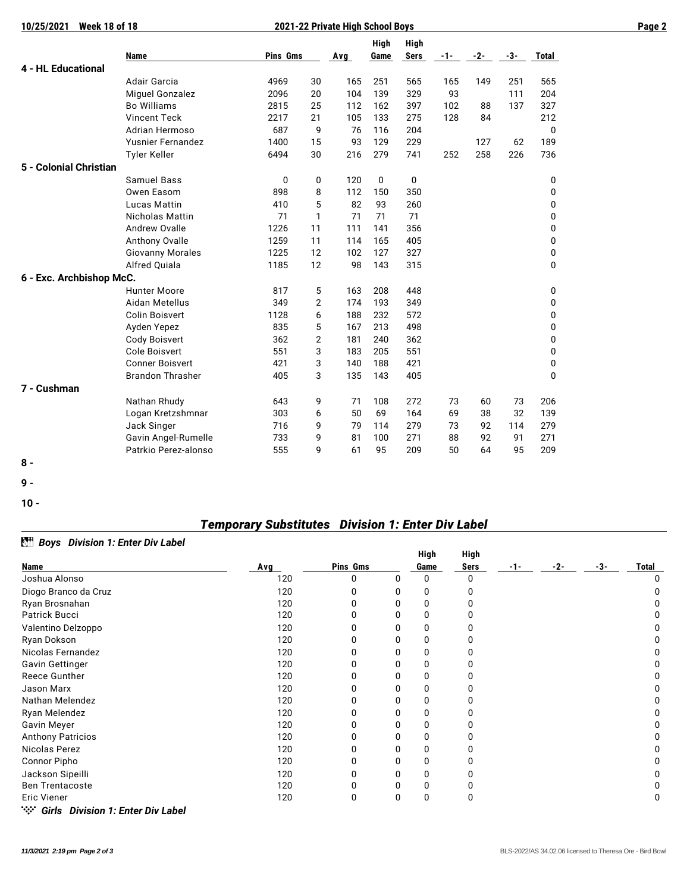| 10/25/2021<br><b>Week 18 of 18</b> | 2021-22 Private High School Boys | Page 2   |                |     |              |                     |       |       |     |       |  |
|------------------------------------|----------------------------------|----------|----------------|-----|--------------|---------------------|-------|-------|-----|-------|--|
|                                    | <b>Name</b>                      | Pins Gms |                | Avg | High<br>Game | High<br><b>Sers</b> | $-1-$ | $-2-$ | -3- | Total |  |
| <b>4 - HL Educational</b>          |                                  |          |                |     |              |                     |       |       |     |       |  |
|                                    | <b>Adair Garcia</b>              | 4969     | 30             | 165 | 251          | 565                 | 165   | 149   | 251 | 565   |  |
|                                    | <b>Miguel Gonzalez</b>           | 2096     | 20             | 104 | 139          | 329                 | 93    |       | 111 | 204   |  |
|                                    | <b>Bo Williams</b>               | 2815     | 25             | 112 | 162          | 397                 | 102   | 88    | 137 | 327   |  |
|                                    | <b>Vincent Teck</b>              | 2217     | 21             | 105 | 133          | 275                 | 128   | 84    |     | 212   |  |
|                                    | Adrian Hermoso                   | 687      | 9              | 76  | 116          | 204                 |       |       |     | 0     |  |
|                                    | <b>Yusnier Fernandez</b>         | 1400     | 15             | 93  | 129          | 229                 |       | 127   | 62  | 189   |  |
|                                    | <b>Tyler Keller</b>              | 6494     | 30             | 216 | 279          | 741                 | 252   | 258   | 226 | 736   |  |
| 5 - Colonial Christian             |                                  |          |                |     |              |                     |       |       |     |       |  |
|                                    | <b>Samuel Bass</b>               | 0        | 0              | 120 | 0            | 0                   |       |       |     | 0     |  |
|                                    | Owen Easom                       | 898      | 8              | 112 | 150          | 350                 |       |       |     | 0     |  |
|                                    | <b>Lucas Mattin</b>              | 410      | 5              | 82  | 93           | 260                 |       |       |     | 0     |  |
|                                    | <b>Nicholas Mattin</b>           | 71       | $\mathbf{1}$   | 71  | 71           | 71                  |       |       |     | 0     |  |
|                                    | Andrew Ovalle                    | 1226     | 11             | 111 | 141          | 356                 |       |       |     | 0     |  |
|                                    | Anthony Ovalle                   | 1259     | 11             | 114 | 165          | 405                 |       |       |     | 0     |  |
|                                    | <b>Giovanny Morales</b>          | 1225     | 12             | 102 | 127          | 327                 |       |       |     | 0     |  |
|                                    | Alfred Quiala                    | 1185     | 12             | 98  | 143          | 315                 |       |       |     | 0     |  |
| 6 - Exc. Archbishop McC.           |                                  |          |                |     |              |                     |       |       |     |       |  |
|                                    | <b>Hunter Moore</b>              | 817      | 5              | 163 | 208          | 448                 |       |       |     | 0     |  |
|                                    | Aidan Metellus                   | 349      | $\overline{2}$ | 174 | 193          | 349                 |       |       |     | 0     |  |
|                                    | <b>Colin Boisvert</b>            | 1128     | 6              | 188 | 232          | 572                 |       |       |     | 0     |  |
|                                    | Ayden Yepez                      | 835      | 5              | 167 | 213          | 498                 |       |       |     | 0     |  |
|                                    | <b>Cody Boisvert</b>             | 362      | $\overline{2}$ | 181 | 240          | 362                 |       |       |     | 0     |  |
|                                    | <b>Cole Boisvert</b>             | 551      | 3              | 183 | 205          | 551                 |       |       |     | 0     |  |
|                                    | <b>Conner Boisvert</b>           | 421      | 3              | 140 | 188          | 421                 |       |       |     | 0     |  |
|                                    | <b>Brandon Thrasher</b>          | 405      | 3              | 135 | 143          | 405                 |       |       |     | 0     |  |
| 7 - Cushman                        |                                  |          |                |     |              |                     |       |       |     |       |  |
|                                    | Nathan Rhudy                     | 643      | 9              | 71  | 108          | 272                 | 73    | 60    | 73  | 206   |  |
|                                    | Logan Kretzshmnar                | 303      | 6              | 50  | 69           | 164                 | 69    | 38    | 32  | 139   |  |
|                                    | Jack Singer                      | 716      | 9              | 79  | 114          | 279                 | 73    | 92    | 114 | 279   |  |
|                                    | Gavin Angel-Rumelle              | 733      | 9              | 81  | 100          | 271                 | 88    | 92    | 91  | 271   |  |
|                                    | Patrkio Perez-alonso             | 555      | 9              | 61  | 95           | 209                 | 50    | 64    | 95  | 209   |  |
| $8 -$                              |                                  |          |                |     |              |                     |       |       |     |       |  |

**9 -** 

**10 -** 

## *Temporary Substitutes Division 1: Enter Div Label*

|                          |     |              |      | High | <b>High</b> |       |       |              |   |
|--------------------------|-----|--------------|------|------|-------------|-------|-------|--------------|---|
| <b>Name</b>              | Avg | Pins Gms     | Game | Sers | -1-         | $-2-$ | $-3-$ | <b>Total</b> |   |
| Joshua Alonso            | 120 | 0            | 0    |      | 0           |       |       |              | 0 |
| Diogo Branco da Cruz     | 120 |              |      | 0    | 0           |       |       |              |   |
| Ryan Brosnahan           | 120 | <sup>0</sup> |      | 0    | 0           |       |       |              |   |
| Patrick Bucci            | 120 |              |      | Ω    |             |       |       |              |   |
| Valentino Delzoppo       | 120 | O            |      | 0    | ŋ           |       |       |              | 0 |
| Ryan Dokson              | 120 | 0            |      | 0    |             |       |       |              |   |
| Nicolas Fernandez        | 120 | O            |      | Ω    | ŋ           |       |       |              |   |
| <b>Gavin Gettinger</b>   | 120 |              |      |      |             |       |       |              |   |
| Reece Gunther            | 120 | O            |      | Ω    |             |       |       |              |   |
| Jason Marx               | 120 |              |      | 0    |             |       |       |              |   |
| Nathan Melendez          | 120 | O            |      | Ω    | 0           |       |       |              | 0 |
| Ryan Melendez            | 120 | 0            |      |      |             |       |       |              |   |
| Gavin Meyer              | 120 | O            |      | 0    |             |       |       |              |   |
| <b>Anthony Patricios</b> | 120 | 0            |      | 0    |             |       |       |              |   |
| Nicolas Perez            | 120 | O            |      | Ω    | ŋ           |       |       |              | 0 |
| Connor Pipho             | 120 |              |      | 0    |             |       |       |              |   |
| Jackson Sipeilli         | 120 | O            |      | 0    |             |       |       |              | O |
| <b>Ben Trentacoste</b>   | 120 |              |      | U    |             |       |       |              |   |
| <b>Eric Viener</b>       | 120 | 0            | O    | 0    | 0           |       |       |              | 0 |

*BH* Boys Division 1: Enter Div Label